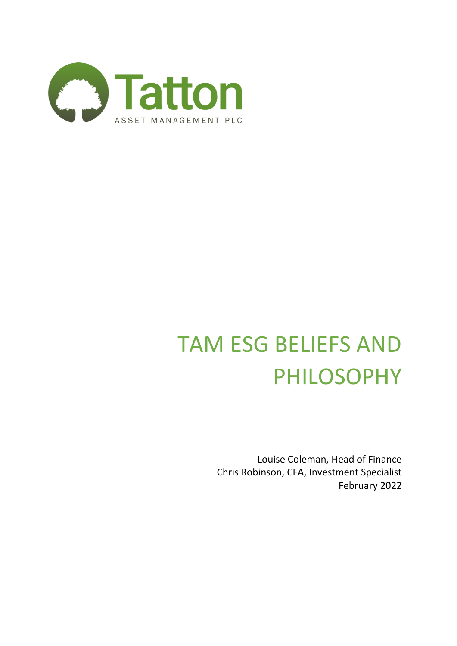

# TAM ESG BELIEFS AND PHILOSOPHY

Louise Coleman, Head of Finance Chris Robinson, CFA, Investment Specialist February 2022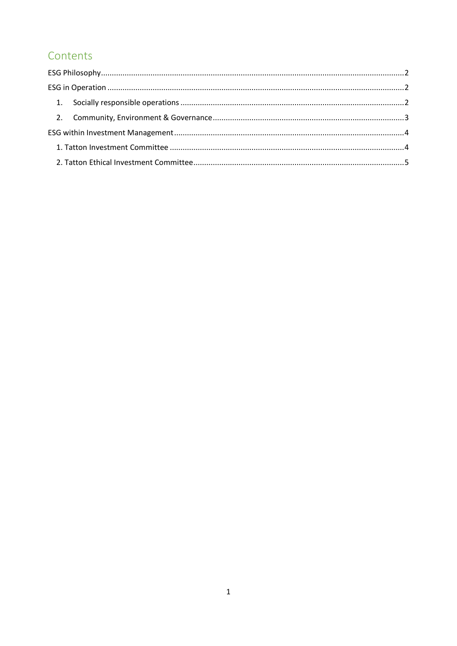## Contents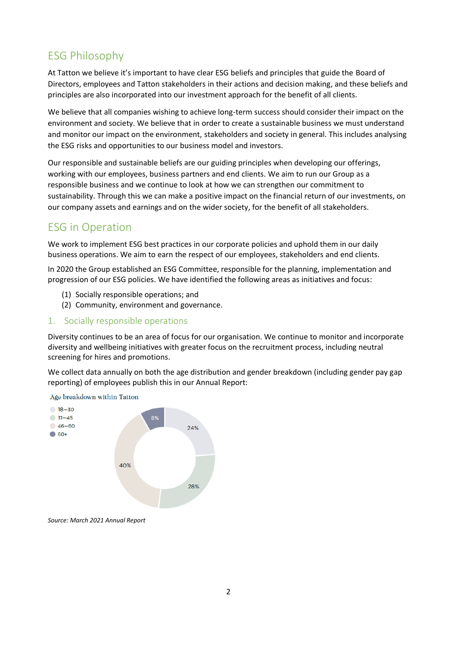## <span id="page-2-0"></span>ESG Philosophy

At Tatton we believe it's important to have clear ESG beliefs and principles that guide the Board of Directors, employees and Tatton stakeholders in their actions and decision making, and these beliefs and principles are also incorporated into our investment approach for the benefit of all clients.

We believe that all companies wishing to achieve long-term success should consider their impact on the environment and society. We believe that in order to create a sustainable business we must understand and monitor our impact on the environment, stakeholders and society in general. This includes analysing the ESG risks and opportunities to our business model and investors.

Our responsible and sustainable beliefs are our guiding principles when developing our offerings, working with our employees, business partners and end clients. We aim to run our Group as a responsible business and we continue to look at how we can strengthen our commitment to sustainability. Through this we can make a positive impact on the financial return of our investments, on our company assets and earnings and on the wider society, for the benefit of all stakeholders.

### <span id="page-2-1"></span>ESG in Operation

We work to implement ESG best practices in our corporate policies and uphold them in our daily business operations. We aim to earn the respect of our employees, stakeholders and end clients.

In 2020 the Group established an ESG Committee, responsible for the planning, implementation and progression of our ESG policies. We have identified the following areas as initiatives and focus:

- (1) Socially responsible operations; and
- (2) Community, environment and governance.
- <span id="page-2-2"></span>1. Socially responsible operations

Diversity continues to be an area of focus for our organisation. We continue to monitor and incorporate diversity and wellbeing initiatives with greater focus on the recruitment process, including neutral screening for hires and promotions.

We collect data annually on both the age distribution and gender breakdown (including gender pay gap reporting) of employees publish this in our Annual Report:



*Source: March 2021 Annual Report*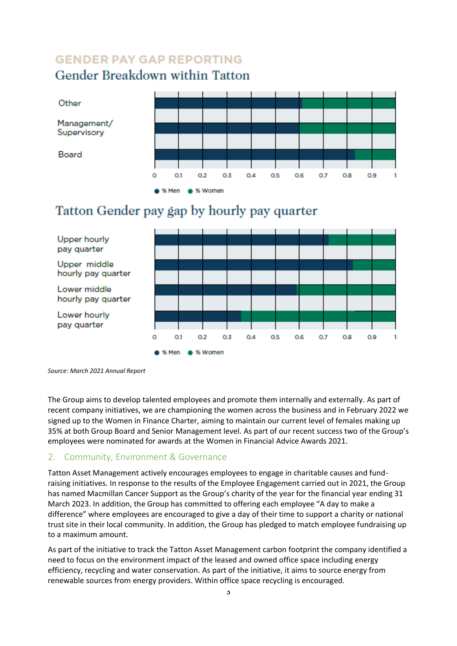# **GENDER PAY GAP REPORTING** Gender Breakdown within Tatton



# Tatton Gender pay gap by hourly pay quarter



*Source: March 2021 Annual Report*

The Group aims to develop talented employees and promote them internally and externally. As part of recent company initiatives, we are championing the women across the business and in February 2022 we signed up to the Women in Finance Charter, aiming to maintain our current level of females making up 35% at both Group Board and Senior Management level. As part of our recent success two of the Group's employees were nominated for awards at the Women in Financial Advice Awards 2021.

#### <span id="page-3-0"></span>2. Community, Environment & Governance

Tatton Asset Management actively encourages employees to engage in charitable causes and fundraising initiatives. In response to the results of the Employee Engagement carried out in 2021, the Group has named Macmillan Cancer Support as the Group's charity of the year for the financial year ending 31 March 2023. In addition, the Group has committed to offering each employee "A day to make a difference" where employees are encouraged to give a day of their time to support a charity or national trust site in their local community. In addition, the Group has pledged to match employee fundraising up to a maximum amount.

As part of the initiative to track the Tatton Asset Management carbon footprint the company identified a need to focus on the environment impact of the leased and owned office space including energy efficiency, recycling and water conservation. As part of the initiative, it aims to source energy from renewable sources from energy providers. Within office space recycling is encouraged.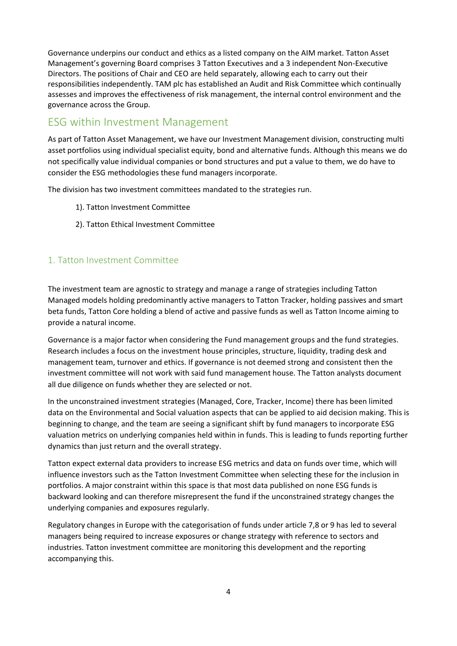Governance underpins our conduct and ethics as a listed company on the AIM market. Tatton Asset Management's governing Board comprises 3 Tatton Executives and a 3 independent Non-Executive Directors. The positions of Chair and CEO are held separately, allowing each to carry out their responsibilities independently. TAM plc has established an Audit and Risk Committee which continually assesses and improves the effectiveness of risk management, the internal control environment and the governance across the Group.

#### <span id="page-4-0"></span>ESG within Investment Management

As part of Tatton Asset Management, we have our Investment Management division, constructing multi asset portfolios using individual specialist equity, bond and alternative funds. Although this means we do not specifically value individual companies or bond structures and put a value to them, we do have to consider the ESG methodologies these fund managers incorporate.

The division has two investment committees mandated to the strategies run.

- 1). Tatton Investment Committee
- 2). Tatton Ethical Investment Committee

#### <span id="page-4-1"></span>1. Tatton Investment Committee

The investment team are agnostic to strategy and manage a range of strategies including Tatton Managed models holding predominantly active managers to Tatton Tracker, holding passives and smart beta funds, Tatton Core holding a blend of active and passive funds as well as Tatton Income aiming to provide a natural income.

Governance is a major factor when considering the Fund management groups and the fund strategies. Research includes a focus on the investment house principles, structure, liquidity, trading desk and management team, turnover and ethics. If governance is not deemed strong and consistent then the investment committee will not work with said fund management house. The Tatton analysts document all due diligence on funds whether they are selected or not.

In the unconstrained investment strategies (Managed, Core, Tracker, Income) there has been limited data on the Environmental and Social valuation aspects that can be applied to aid decision making. This is beginning to change, and the team are seeing a significant shift by fund managers to incorporate ESG valuation metrics on underlying companies held within in funds. This is leading to funds reporting further dynamics than just return and the overall strategy.

Tatton expect external data providers to increase ESG metrics and data on funds over time, which will influence investors such as the Tatton Investment Committee when selecting these for the inclusion in portfolios. A major constraint within this space is that most data published on none ESG funds is backward looking and can therefore misrepresent the fund if the unconstrained strategy changes the underlying companies and exposures regularly.

Regulatory changes in Europe with the categorisation of funds under article 7,8 or 9 has led to several managers being required to increase exposures or change strategy with reference to sectors and industries. Tatton investment committee are monitoring this development and the reporting accompanying this.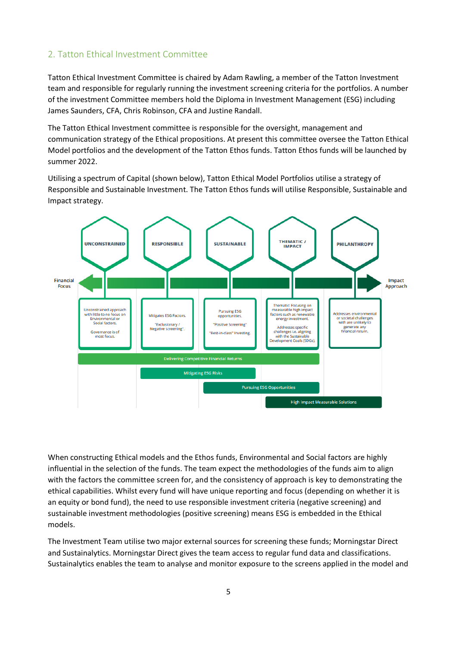#### <span id="page-5-0"></span>2. Tatton Ethical Investment Committee

Tatton Ethical Investment Committee is chaired by Adam Rawling, a member of the Tatton Investment team and responsible for regularly running the investment screening criteria for the portfolios. A number of the investment Committee members hold the Diploma in Investment Management (ESG) including James Saunders, CFA, Chris Robinson, CFA and Justine Randall.

The Tatton Ethical Investment committee is responsible for the oversight, management and communication strategy of the Ethical propositions. At present this committee oversee the Tatton Ethical Model portfolios and the development of the Tatton Ethos funds. Tatton Ethos funds will be launched by summer 2022.

Utilising a spectrum of Capital (shown below), Tatton Ethical Model Portfolios utilise a strategy of Responsible and Sustainable Investment. The Tatton Ethos funds will utilise Responsible, Sustainable and Impact strategy.



When constructing Ethical models and the Ethos funds, Environmental and Social factors are highly influential in the selection of the funds. The team expect the methodologies of the funds aim to align with the factors the committee screen for, and the consistency of approach is key to demonstrating the ethical capabilities. Whilst every fund will have unique reporting and focus (depending on whether it is an equity or bond fund), the need to use responsible investment criteria (negative screening) and sustainable investment methodologies (positive screening) means ESG is embedded in the Ethical models.

The Investment Team utilise two major external sources for screening these funds; Morningstar Direct and Sustainalytics. Morningstar Direct gives the team access to regular fund data and classifications. Sustainalytics enables the team to analyse and monitor exposure to the screens applied in the model and